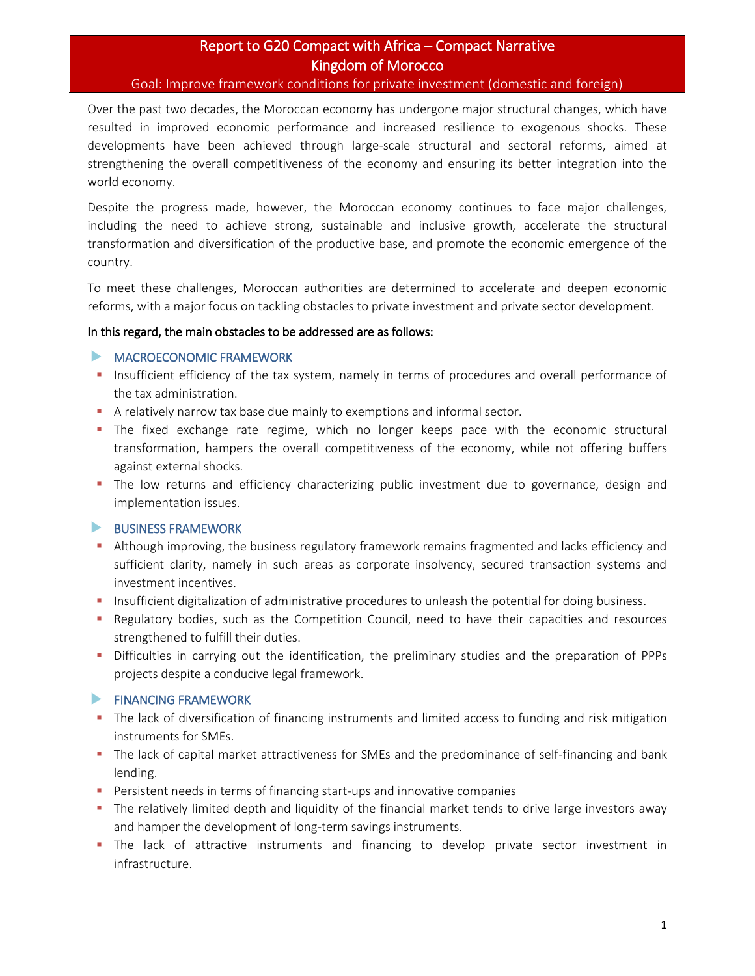# Report to G20 Compact with Africa – Compact Narrative Kingdom of Morocco

#### Goal: Improve framework conditions for private investment (domestic and foreign)

Over the past two decades, the Moroccan economy has undergone major structural changes, which have resulted in improved economic performance and increased resilience to exogenous shocks. These developments have been achieved through large-scale structural and sectoral reforms, aimed at strengthening the overall competitiveness of the economy and ensuring its better integration into the world economy.

Despite the progress made, however, the Moroccan economy continues to face major challenges, including the need to achieve strong, sustainable and inclusive growth, accelerate the structural transformation and diversification of the productive base, and promote the economic emergence of the country.

To meet these challenges, Moroccan authorities are determined to accelerate and deepen economic reforms, with a major focus on tackling obstacles to private investment and private sector development.

### In this regard, the main obstacles to be addressed are as follows:

### **MACROECONOMIC FRAMEWORK**

- **•** Insufficient efficiency of the tax system, namely in terms of procedures and overall performance of the tax administration.
- **E** A relatively narrow tax base due mainly to exemptions and informal sector.
- **The fixed exchange rate regime, which no longer keeps pace with the economic structural** transformation, hampers the overall competitiveness of the economy, while not offering buffers against external shocks.
- **•** The low returns and efficiency characterizing public investment due to governance, design and implementation issues.

### BUSINESS FRAMEWORK

- **EXECT Although improving, the business regulatory framework remains fragmented and lacks efficiency and** sufficient clarity, namely in such areas as corporate insolvency, secured transaction systems and investment incentives.
- **■** Insufficient digitalization of administrative procedures to unleash the potential for doing business.
- **•** Regulatory bodies, such as the Competition Council, need to have their capacities and resources strengthened to fulfill their duties.
- Difficulties in carrying out the identification, the preliminary studies and the preparation of PPPs projects despite a conducive legal framework.

## **FINANCING FRAMEWORK**

- The lack of diversification of financing instruments and limited access to funding and risk mitigation instruments for SMEs.
- The lack of capital market attractiveness for SMEs and the predominance of self-financing and bank lending.
- Persistent needs in terms of financing start-ups and innovative companies
- The relatively limited depth and liquidity of the financial market tends to drive large investors away and hamper the development of long-term savings instruments.
- **•** The lack of attractive instruments and financing to develop private sector investment in infrastructure.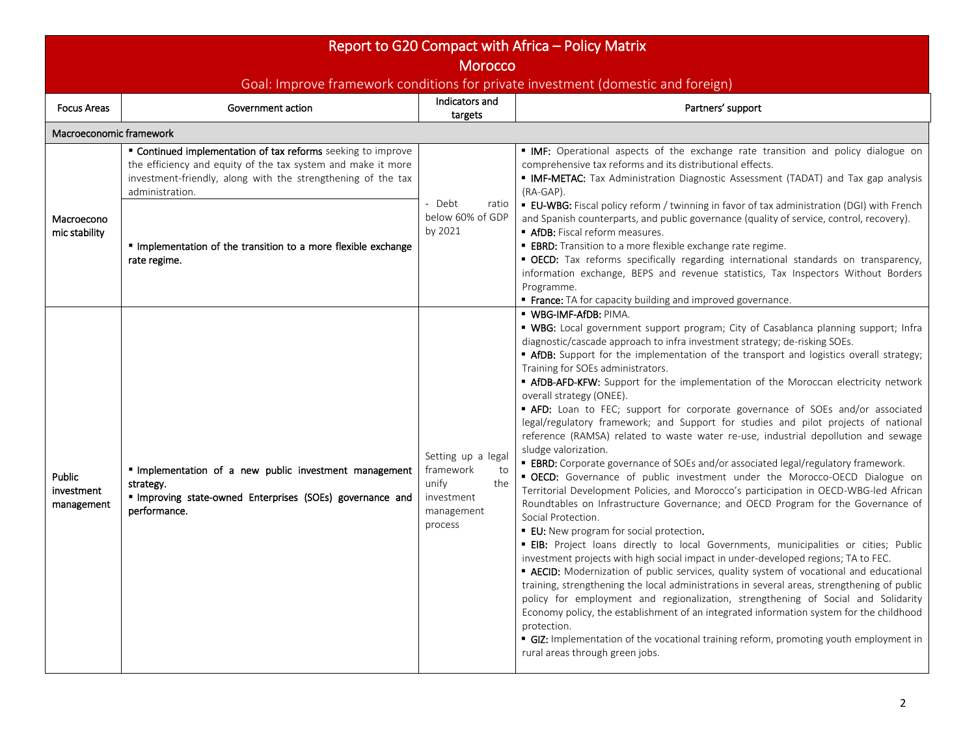| Report to G20 Compact with Africa - Policy Matrix                                                  |                                                                                                                                                                                                                 |                                                                                              |                                                                                                                                                                                                                                                                                                                                                                                                                                                                                                                                                                                                                                                                                                                                                                                                                                                                                                                                                                                                                                                                                                                                                                                                                                                                                                                                                                                                                                                                                                                                                                                                                                                                                                                                                                                                                                                                                           |  |  |  |  |  |  |
|----------------------------------------------------------------------------------------------------|-----------------------------------------------------------------------------------------------------------------------------------------------------------------------------------------------------------------|----------------------------------------------------------------------------------------------|-------------------------------------------------------------------------------------------------------------------------------------------------------------------------------------------------------------------------------------------------------------------------------------------------------------------------------------------------------------------------------------------------------------------------------------------------------------------------------------------------------------------------------------------------------------------------------------------------------------------------------------------------------------------------------------------------------------------------------------------------------------------------------------------------------------------------------------------------------------------------------------------------------------------------------------------------------------------------------------------------------------------------------------------------------------------------------------------------------------------------------------------------------------------------------------------------------------------------------------------------------------------------------------------------------------------------------------------------------------------------------------------------------------------------------------------------------------------------------------------------------------------------------------------------------------------------------------------------------------------------------------------------------------------------------------------------------------------------------------------------------------------------------------------------------------------------------------------------------------------------------------------|--|--|--|--|--|--|
| <b>Morocco</b><br>Goal: Improve framework conditions for private investment (domestic and foreign) |                                                                                                                                                                                                                 |                                                                                              |                                                                                                                                                                                                                                                                                                                                                                                                                                                                                                                                                                                                                                                                                                                                                                                                                                                                                                                                                                                                                                                                                                                                                                                                                                                                                                                                                                                                                                                                                                                                                                                                                                                                                                                                                                                                                                                                                           |  |  |  |  |  |  |
| <b>Focus Areas</b>                                                                                 | Government action                                                                                                                                                                                               | Indicators and<br>targets                                                                    | Partners' support                                                                                                                                                                                                                                                                                                                                                                                                                                                                                                                                                                                                                                                                                                                                                                                                                                                                                                                                                                                                                                                                                                                                                                                                                                                                                                                                                                                                                                                                                                                                                                                                                                                                                                                                                                                                                                                                         |  |  |  |  |  |  |
|                                                                                                    | Macroeconomic framework                                                                                                                                                                                         |                                                                                              |                                                                                                                                                                                                                                                                                                                                                                                                                                                                                                                                                                                                                                                                                                                                                                                                                                                                                                                                                                                                                                                                                                                                                                                                                                                                                                                                                                                                                                                                                                                                                                                                                                                                                                                                                                                                                                                                                           |  |  |  |  |  |  |
| Macroecono<br>mic stability                                                                        | " Continued implementation of tax reforms seeking to improve<br>the efficiency and equity of the tax system and make it more<br>investment-friendly, along with the strengthening of the tax<br>administration. | - Debt<br>ratio<br>below 60% of GDP<br>by 2021                                               | " IMF: Operational aspects of the exchange rate transition and policy dialogue on<br>comprehensive tax reforms and its distributional effects.<br>" IMF-METAC: Tax Administration Diagnostic Assessment (TADAT) and Tax gap analysis<br>$(RA-GAP)$ .                                                                                                                                                                                                                                                                                                                                                                                                                                                                                                                                                                                                                                                                                                                                                                                                                                                                                                                                                                                                                                                                                                                                                                                                                                                                                                                                                                                                                                                                                                                                                                                                                                      |  |  |  |  |  |  |
|                                                                                                    | Implementation of the transition to a more flexible exchange<br>rate regime.                                                                                                                                    |                                                                                              | <b>EU-WBG:</b> Fiscal policy reform / twinning in favor of tax administration (DGI) with French<br>and Spanish counterparts, and public governance (quality of service, control, recovery).<br>AfDB: Fiscal reform measures.<br><b>EBRD:</b> Transition to a more flexible exchange rate regime.<br>" OECD: Tax reforms specifically regarding international standards on transparency,<br>information exchange, BEPS and revenue statistics, Tax Inspectors Without Borders<br>Programme.<br><b>France:</b> TA for capacity building and improved governance.                                                                                                                                                                                                                                                                                                                                                                                                                                                                                                                                                                                                                                                                                                                                                                                                                                                                                                                                                                                                                                                                                                                                                                                                                                                                                                                            |  |  |  |  |  |  |
| <b>Public</b><br>investment<br>management                                                          | " Implementation of a new public investment management<br>strategy.<br>" Improving state-owned Enterprises (SOEs) governance and<br>performance.                                                                | Setting up a legal<br>framework<br>to<br>the<br>unify<br>investment<br>management<br>process | · WBG-IMF-AfDB: PIMA.<br>" WBG: Local government support program; City of Casablanca planning support; Infra<br>diagnostic/cascade approach to infra investment strategy; de-risking SOEs.<br><b>AfDB:</b> Support for the implementation of the transport and logistics overall strategy;<br>Training for SOEs administrators.<br>" AfDB-AFD-KFW: Support for the implementation of the Moroccan electricity network<br>overall strategy (ONEE).<br><b>AFD:</b> Loan to FEC; support for corporate governance of SOEs and/or associated<br>legal/regulatory framework; and Support for studies and pilot projects of national<br>reference (RAMSA) related to waste water re-use, industrial depollution and sewage<br>sludge valorization.<br><b>EBRD:</b> Corporate governance of SOEs and/or associated legal/regulatory framework.<br>" OECD: Governance of public investment under the Morocco-OECD Dialogue on<br>Territorial Development Policies, and Morocco's participation in OECD-WBG-led African<br>Roundtables on Infrastructure Governance; and OECD Program for the Governance of<br>Social Protection.<br><b>EU:</b> New program for social protection.<br><b>EIB:</b> Project loans directly to local Governments, municipalities or cities; Public<br>investment projects with high social impact in under-developed regions; TA to FEC.<br><b>- AECID:</b> Modernization of public services, quality system of vocational and educational<br>training, strengthening the local administrations in several areas, strengthening of public<br>policy for employment and regionalization, strengthening of Social and Solidarity<br>Economy policy, the establishment of an integrated information system for the childhood<br>protection.<br>" GIZ: Implementation of the vocational training reform, promoting youth employment in<br>rural areas through green jobs. |  |  |  |  |  |  |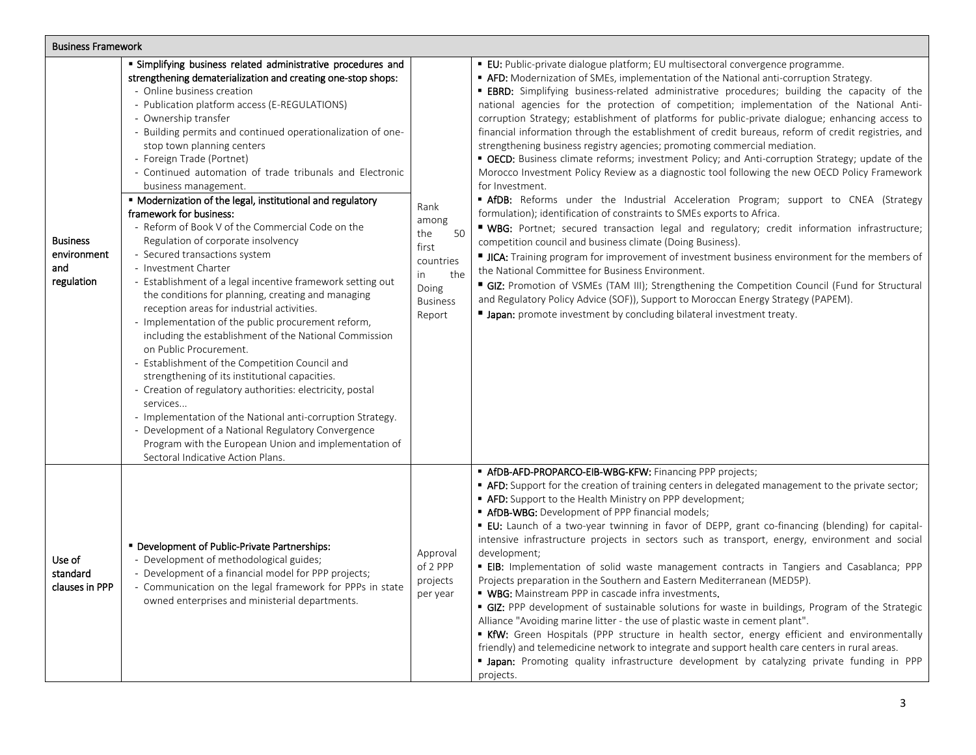| <b>Business Framework</b>                           |                                                                                                                                                                                                                                                                                                                                                                                                                                                                                                                                                                                                                                                                                                                                                                                                                                                                                                                                                                                                                                                                                                                                                                                                                                                                                                                                                                                                          |                                                                                                     |                                                                                                                                                                                                                                                                                                                                                                                                                                                                                                                                                                                                                                                                                                                                                                                                                                                                                                                                                                                                                                                                                                                                                                                                                                                                                                                                                                                                                                                                                                                                                                                                                                                             |  |  |  |
|-----------------------------------------------------|----------------------------------------------------------------------------------------------------------------------------------------------------------------------------------------------------------------------------------------------------------------------------------------------------------------------------------------------------------------------------------------------------------------------------------------------------------------------------------------------------------------------------------------------------------------------------------------------------------------------------------------------------------------------------------------------------------------------------------------------------------------------------------------------------------------------------------------------------------------------------------------------------------------------------------------------------------------------------------------------------------------------------------------------------------------------------------------------------------------------------------------------------------------------------------------------------------------------------------------------------------------------------------------------------------------------------------------------------------------------------------------------------------|-----------------------------------------------------------------------------------------------------|-------------------------------------------------------------------------------------------------------------------------------------------------------------------------------------------------------------------------------------------------------------------------------------------------------------------------------------------------------------------------------------------------------------------------------------------------------------------------------------------------------------------------------------------------------------------------------------------------------------------------------------------------------------------------------------------------------------------------------------------------------------------------------------------------------------------------------------------------------------------------------------------------------------------------------------------------------------------------------------------------------------------------------------------------------------------------------------------------------------------------------------------------------------------------------------------------------------------------------------------------------------------------------------------------------------------------------------------------------------------------------------------------------------------------------------------------------------------------------------------------------------------------------------------------------------------------------------------------------------------------------------------------------------|--|--|--|
| <b>Business</b><br>environment<br>and<br>regulation | " Simplifying business related administrative procedures and<br>strengthening dematerialization and creating one-stop shops:<br>- Online business creation<br>- Publication platform access (E-REGULATIONS)<br>- Ownership transfer<br>- Building permits and continued operationalization of one-<br>stop town planning centers<br>- Foreign Trade (Portnet)<br>- Continued automation of trade tribunals and Electronic<br>business management.<br>" Modernization of the legal, institutional and regulatory<br>framework for business:<br>- Reform of Book V of the Commercial Code on the<br>Regulation of corporate insolvency<br>- Secured transactions system<br>- Investment Charter<br>- Establishment of a legal incentive framework setting out<br>the conditions for planning, creating and managing<br>reception areas for industrial activities.<br>- Implementation of the public procurement reform,<br>including the establishment of the National Commission<br>on Public Procurement.<br>- Establishment of the Competition Council and<br>strengthening of its institutional capacities.<br>- Creation of regulatory authorities: electricity, postal<br>services<br>- Implementation of the National anti-corruption Strategy.<br>- Development of a National Regulatory Convergence<br>Program with the European Union and implementation of<br>Sectoral Indicative Action Plans. | Rank<br>among<br>the<br>50<br>first<br>countries<br>the<br>in<br>Doing<br><b>Business</b><br>Report | <b>EU:</b> Public-private dialogue platform; EU multisectoral convergence programme.<br>• AFD: Modernization of SMEs, implementation of the National anti-corruption Strategy.<br><b>EBRD:</b> Simplifying business-related administrative procedures; building the capacity of the<br>national agencies for the protection of competition; implementation of the National Anti-<br>corruption Strategy; establishment of platforms for public-private dialogue; enhancing access to<br>financial information through the establishment of credit bureaus, reform of credit registries, and<br>strengthening business registry agencies; promoting commercial mediation.<br>• OECD: Business climate reforms; investment Policy; and Anti-corruption Strategy; update of the<br>Morocco Investment Policy Review as a diagnostic tool following the new OECD Policy Framework<br>for Investment.<br>" AfDB: Reforms under the Industrial Acceleration Program; support to CNEA (Strategy<br>formulation); identification of constraints to SMEs exports to Africa.<br>" WBG: Portnet; secured transaction legal and regulatory; credit information infrastructure;<br>competition council and business climate (Doing Business).<br>ICA: Training program for improvement of investment business environment for the members of<br>the National Committee for Business Environment.<br>GIZ: Promotion of VSMEs (TAM III); Strengthening the Competition Council (Fund for Structural<br>and Regulatory Policy Advice (SOF)), Support to Moroccan Energy Strategy (PAPEM).<br><b>If Japan:</b> promote investment by concluding bilateral investment treaty. |  |  |  |
| Use of<br>standard<br>clauses in PPP                | " Development of Public-Private Partnerships:<br>- Development of methodological guides;<br>- Development of a financial model for PPP projects;<br>- Communication on the legal framework for PPPs in state<br>owned enterprises and ministerial departments.                                                                                                                                                                                                                                                                                                                                                                                                                                                                                                                                                                                                                                                                                                                                                                                                                                                                                                                                                                                                                                                                                                                                           | Approval<br>of 2 PPP<br>projects<br>per year                                                        | " AfDB-AFD-PROPARCO-EIB-WBG-KFW: Financing PPP projects;<br>" AFD: Support for the creation of training centers in delegated management to the private sector;<br>" AFD: Support to the Health Ministry on PPP development;<br>" AfDB-WBG: Development of PPP financial models;<br>" EU: Launch of a two-year twinning in favor of DEPP, grant co-financing (blending) for capital-<br>intensive infrastructure projects in sectors such as transport, energy, environment and social<br>development;<br><b>EIB:</b> Implementation of solid waste management contracts in Tangiers and Casablanca; PPP<br>Projects preparation in the Southern and Eastern Mediterranean (MED5P).<br>" WBG: Mainstream PPP in cascade infra investments.<br>GIZ: PPP development of sustainable solutions for waste in buildings, Program of the Strategic<br>Alliance "Avoiding marine litter - the use of plastic waste in cement plant".<br>KfW: Green Hospitals (PPP structure in health sector, energy efficient and environmentally<br>friendly) and telemedicine network to integrate and support health care centers in rural areas.<br><b>• Japan:</b> Promoting quality infrastructure development by catalyzing private funding in PPP<br>projects.                                                                                                                                                                                                                                                                                                                                                                                                             |  |  |  |